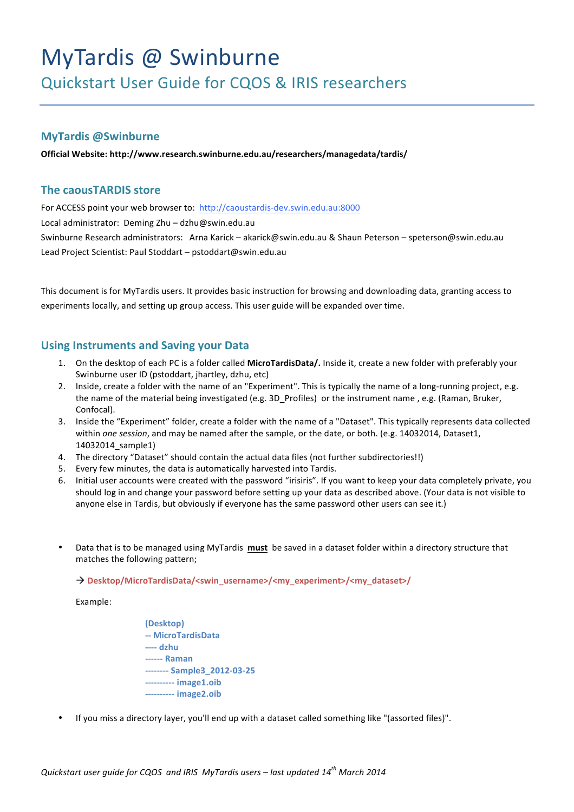# MyTardis @ Swinburne

Quickstart User Guide for CQOS & IRIS researchers

# **MyTardis @Swinburne**

**Official Website: http://www.research.swinburne.edu.au/researchers/managedata/tardis/**

# **The caousTARDIS store**

For ACCESS point your web browser to: http://caoustardis-dev.swin.edu.au:8000

Local administrator: Deming Zhu - dzhu@swin.edu.au

Swinburne Research administrators: Arna Karick – akarick@swin.edu.au & Shaun Peterson – speterson@swin.edu.au Lead Project Scientist: Paul Stoddart - pstoddart@swin.edu.au

This document is for MyTardis users. It provides basic instruction for browsing and downloading data, granting access to experiments locally, and setting up group access. This user guide will be expanded over time.

# **Using Instruments and Saving your Data**

- 1. On the desktop of each PC is a folder called MicroTardisData/. Inside it, create a new folder with preferably your Swinburne user ID (pstoddart, jhartley, dzhu, etc)
- 2. Inside, create a folder with the name of an "Experiment". This is typically the name of a long-running project, e.g. the name of the material being investigated (e.g. 3D\_Profiles) or the instrument name, e.g. (Raman, Bruker, Confocal).
- 3. Inside the "Experiment" folder, create a folder with the name of a "Dataset". This typically represents data collected within *one session*, and may be named after the sample, or the date, or both. (e.g. 14032014, Dataset1, 14032014\_sample1)
- 4. The directory "Dataset" should contain the actual data files (not further subdirectories!!)
- 5. Every few minutes, the data is automatically harvested into Tardis.
- 6. Initial user accounts were created with the password "irisiris". If you want to keep your data completely private, you should log in and change your password before setting up your data as described above. (Your data is not visible to anyone else in Tardis, but obviously if everyone has the same password other users can see it.)
- Data that is to be managed using MyTardis must be saved in a dataset folder within a directory structure that matches the following pattern;

à **Desktop/MicroTardisData/<swin\_username>/<my\_experiment>/<my\_dataset>/**

Example:

- **(Desktop) -- MicroTardisData ---- dzhu ------ Raman -------- Sample3\_2012-03-25 ---------- image1.oib ---------- image2.oib**
- If you miss a directory layer, you'll end up with a dataset called something like "(assorted files)".